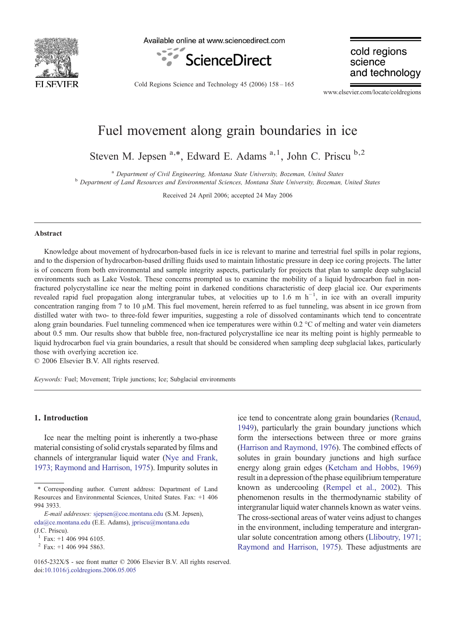

Available online at www.sciencedirect.com



cold regions science and technology

Cold Regions Science and Technology 45 (2006) 158–165

www.elsevier.com/locate/coldregions

# Fuel movement along grain boundaries in ice

Steven M. Jepsen  $a,*$ , Edward E. Adams  $a,1$ , John C. Priscu  $b,2$ 

<sup>a</sup> Department of Civil Engineering, Montana State University, Bozeman, United States b Department of Land Resources and Environmental Sciences, Montana State University, Bozeman, United States

Received 24 April 2006; accepted 24 May 2006

#### Abstract

Knowledge about movement of hydrocarbon-based fuels in ice is relevant to marine and terrestrial fuel spills in polar regions, and to the dispersion of hydrocarbon-based drilling fluids used to maintain lithostatic pressure in deep ice coring projects. The latter is of concern from both environmental and sample integrity aspects, particularly for projects that plan to sample deep subglacial environments such as Lake Vostok. These concerns prompted us to examine the mobility of a liquid hydrocarbon fuel in nonfractured polycrystalline ice near the melting point in darkened conditions characteristic of deep glacial ice. Our experiments revealed rapid fuel propagation along intergranular tubes, at velocities up to 1.6 m h<sup>-1</sup>, in ice with an overall impurity concentration ranging from 7 to 10  $\mu$ M. This fuel movement, herein referred to as fuel tunneling, was absent in ice grown from distilled water with two- to three-fold fewer impurities, suggesting a role of dissolved contaminants which tend to concentrate along grain boundaries. Fuel tunneling commenced when ice temperatures were within 0.2 °C of melting and water vein diameters about 0.5 mm. Our results show that bubble free, non-fractured polycrystalline ice near its melting point is highly permeable to liquid hydrocarbon fuel via grain boundaries, a result that should be considered when sampling deep subglacial lakes, particularly those with overlying accretion ice.

© 2006 Elsevier B.V. All rights reserved.

Keywords: Fuel; Movement; Triple junctions; Ice; Subglacial environments

## 1. Introduction

Ice near the melting point is inherently a two-phase material consisting of solid crystals separated by films and channels of intergranular liquid water [\(Nye and Frank,](#page-7-0) [1973; Raymond and Harrison, 1975](#page-7-0)). Impurity solutes in ice tend to concentrate along grain boundaries [\(Renaud,](#page-7-0) [1949\)](#page-7-0), particularly the grain boundary junctions which form the intersections between three or more grains [\(Harrison and Raymond, 1976\)](#page-6-0). The combined effects of solutes in grain boundary junctions and high surface energy along grain edges [\(Ketcham and Hobbs, 1969](#page-7-0)) result in a depression of the phase equilibrium temperature known as undercooling ([Rempel et al., 2002\)](#page-7-0). This phenomenon results in the thermodynamic stability of intergranular liquid water channels known as water veins. The cross-sectional areas of water veins adjust to changes in the environment, including temperature and intergranular solute concentration among others [\(Lliboutry, 1971;](#page-7-0) [Raymond and Harrison, 1975](#page-7-0)). These adjustments are

<sup>⁎</sup> Corresponding author. Current address: Department of Land Resources and Environmental Sciences, United States. Fax: +1 406 994 3933.

E-mail addresses: [sjepsen@coe.montana.edu](mailto:sjepsen@coe.montana.edu) (S.M. Jepsen), [eda@ce.montana.edu](mailto:eda@ce.montana.edu) (E.E. Adams), [jpriscu@montana.edu](mailto:jpriscu@montana.edu) (J.C. Priscu).

Fax: +1 406 994 6105.

 $2$  Fax: +1 406 994 5863.

<sup>0165-232</sup>X/\$ - see front matter © 2006 Elsevier B.V. All rights reserved. doi[:10.1016/j.coldregions.2006.05.005](http://dx.doi.org/10.1016/j.coldregions.2006.05.005)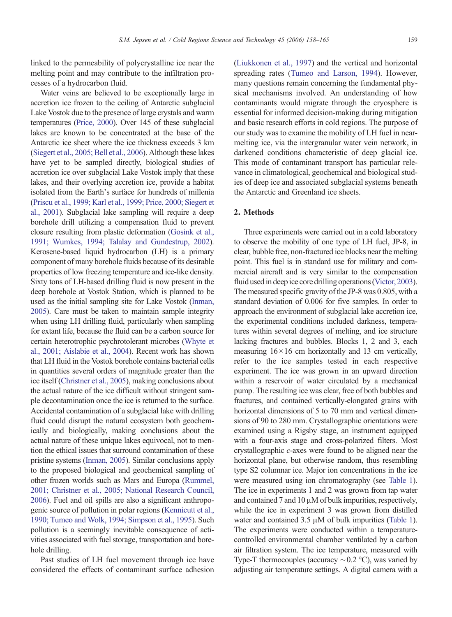linked to the permeability of polycrystalline ice near the melting point and may contribute to the infiltration processes of a hydrocarbon fluid.

Water veins are believed to be exceptionally large in accretion ice frozen to the ceiling of Antarctic subglacial Lake Vostok due to the presence of large crystals and warm temperatures [\(Price, 2000](#page-7-0)). Over 145 of these subglacial lakes are known to be concentrated at the base of the Antarctic ice sheet where the ice thickness exceeds 3 km [\(Siegert et al., 2005; Bell et al., 2006](#page-7-0)). Although these lakes have yet to be sampled directly, biological studies of accretion ice over subglacial Lake Vostok imply that these lakes, and their overlying accretion ice, provide a habitat isolated from the Earth's surface for hundreds of millenia [\(Priscu et al., 1999; Karl et al., 1999; Price, 2000; Siegert et](#page-7-0) [al., 2001](#page-7-0)). Subglacial lake sampling will require a deep borehole drill utilizing a compensation fluid to prevent closure resulting from plastic deformation ([Gosink et al.,](#page-6-0) [1991; Wumkes, 1994; Talalay and Gundestrup, 2002\)](#page-6-0). Kerosene-based liquid hydrocarbon (LH) is a primary component of many borehole fluids because of its desirable properties of low freezing temperature and ice-like density. Sixty tons of LH-based drilling fluid is now present in the deep borehole at Vostok Station, which is planned to be used as the initial sampling site for Lake Vostok [\(Inman,](#page-6-0) [2005](#page-6-0)). Care must be taken to maintain sample integrity when using LH drilling fluid, particularly when sampling for extant life, because the fluid can be a carbon source for certain heterotrophic psychrotolerant microbes [\(Whyte et](#page-7-0) [al., 2001; Aislabie et al., 2004](#page-7-0)). Recent work has shown that LH fluid in the Vostok borehole contains bacterial cells in quantities several orders of magnitude greater than the ice itself [\(Christner et al., 2005\)](#page-6-0), making conclusions about the actual nature of the ice difficult without stringent sample decontamination once the ice is returned to the surface. Accidental contamination of a subglacial lake with drilling fluid could disrupt the natural ecosystem both geochemically and biologically, making conclusions about the actual nature of these unique lakes equivocal, not to mention the ethical issues that surround contamination of these pristine systems [\(Inman, 2005](#page-6-0)). Similar conclusions apply to the proposed biological and geochemical sampling of other frozen worlds such as Mars and Europa ([Rummel,](#page-7-0) [2001; Christner et al., 2005; National Research Council,](#page-7-0) [2006](#page-7-0)). Fuel and oil spills are also a significant anthropogenic source of pollution in polar regions [\(Kennicutt et al.,](#page-7-0) [1990; Tumeo and Wolk, 1994; Simpson et al., 1995](#page-7-0)). Such pollution is a seemingly inevitable consequence of activities associated with fuel storage, transportation and borehole drilling.

Past studies of LH fuel movement through ice have considered the effects of contaminant surface adhesion

[\(Liukkonen et al., 1997](#page-7-0)) and the vertical and horizontal spreading rates [\(Tumeo and Larson, 1994\)](#page-7-0). However, many questions remain concerning the fundamental physical mechanisms involved. An understanding of how contaminants would migrate through the cryosphere is essential for informed decision-making during mitigation and basic research efforts in cold regions. The purpose of our study was to examine the mobility of LH fuel in nearmelting ice, via the intergranular water vein network, in darkened conditions characteristic of deep glacial ice. This mode of contaminant transport has particular relevance in climatological, geochemical and biological studies of deep ice and associated subglacial systems beneath the Antarctic and Greenland ice sheets.

# 2. Methods

Three experiments were carried out in a cold laboratory to observe the mobility of one type of LH fuel, JP-8, in clear, bubble free, non-fractured ice blocks near the melting point. This fuel is in standard use for military and commercial aircraft and is very similar to the compensation fluid used in deep ice core drilling operations [\(Victor, 2003\)](#page-7-0). The measured specific gravity of the JP-8 was 0.805, with a standard deviation of 0.006 for five samples. In order to approach the environment of subglacial lake accretion ice, the experimental conditions included darkness, temperatures within several degrees of melting, and ice structure lacking fractures and bubbles. Blocks 1, 2 and 3, each measuring  $16 \times 16$  cm horizontally and 13 cm vertically, refer to the ice samples tested in each respective experiment. The ice was grown in an upward direction within a reservoir of water circulated by a mechanical pump. The resulting ice was clear, free of both bubbles and fractures, and contained vertically-elongated grains with horizontal dimensions of 5 to 70 mm and vertical dimensions of 90 to 280 mm. Crystallographic orientations were examined using a Rigsby stage, an instrument equipped with a four-axis stage and cross-polarized filters. Most crystallographic c-axes were found to be aligned near the horizontal plane, but otherwise random, thus resembling type S2 columnar ice. Major ion concentrations in the ice were measured using ion chromatography (see [Table 1\)](#page-2-0). The ice in experiments 1 and 2 was grown from tap water and contained 7 and 10 μM of bulk impurities, respectively, while the ice in experiment 3 was grown from distilled water and contained 3.5 μM of bulk impurities [\(Table 1\)](#page-2-0). The experiments were conducted within a temperaturecontrolled environmental chamber ventilated by a carbon air filtration system. The ice temperature, measured with Type-T thermocouples (accuracy ∼0.2 °C), was varied by adjusting air temperature settings. A digital camera with a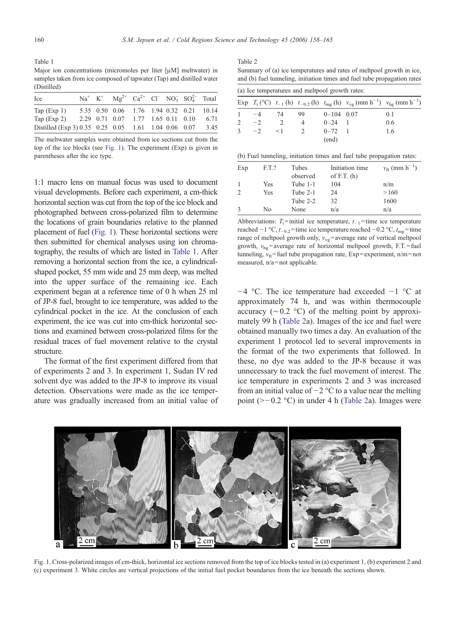<span id="page-2-0"></span>Table 1 Major ion concentrations (micromoles per liter [μM] meltwater) in samples taken from ice composed of tapwater (Tap) and distilled water (Distilled)

| Ice                                                       |  | $Na^+$ K <sup>+</sup> $Mg^{2+}$ Ca <sup>2+</sup> Cl <sup>-</sup> NO <sub>3</sub> SO <sub>4</sub> <sup>2-</sup> Total |  |  |      |
|-----------------------------------------------------------|--|----------------------------------------------------------------------------------------------------------------------|--|--|------|
| Tap $(Exp 1)$                                             |  | 5.35 0.50 0.06 1.76 1.94 0.32 0.21 10.14                                                                             |  |  |      |
| Tap $(Exp 2)$                                             |  | 2.29 0.71 0.07 1.77 1.65 0.11 0.10                                                                                   |  |  | 6.71 |
| Distilled (Exp 3) 0.35 0.25 0.05 1.61 1.04 0.06 0.07 3.45 |  |                                                                                                                      |  |  |      |

The meltwater samples were obtained from ice sections cut from the top of the ice blocks (see Fig. 1). The experiment (Exp) is given in parentheses after the ice type.

1:1 macro lens on manual focus was used to document visual developments. Before each experiment, a cm-thick horizontal section was cut from the top of the ice block and photographed between cross-polarized film to determine the locations of grain boundaries relative to the planned placement of fuel (Fig. 1). These horizontal sections were then submitted for chemical analyses using ion chromatography, the results of which are listed in Table 1. After removing a horizontal section from the ice, a cylindricalshaped pocket, 55 mm wide and 25 mm deep, was melted into the upper surface of the remaining ice. Each experiment began at a reference time of 0 h when 25 ml of JP-8 fuel, brought to ice temperature, was added to the cylindrical pocket in the ice. At the conclusion of each experiment, the ice was cut into cm-thick horizontal sections and examined between cross-polarized films for the residual traces of fuel movement relative to the crystal structure.

The format of the first experiment differed from that of experiments 2 and 3. In experiment 1, Sudan IV red solvent dye was added to the JP-8 to improve its visual detection. Observations were made as the ice temperature was gradually increased from an initial value of

#### Table 2

Summary of (a) ice temperatures and rates of meltpool growth in ice, and (b) fuel tunneling, initiation times and fuel tube propagation rates

(a) Ice temperatures and meltpool growth rates:

|               |      |          |               |              | Exp $T_i$ (°C) $t_{-1}$ (h) $t_{-0.2}$ (h) $t_{mg}$ (h) $v_{vg}$ (mm h <sup>-1</sup> ) $v_{hg}$ (mm h <sup>-1</sup> ) |     |
|---------------|------|----------|---------------|--------------|-----------------------------------------------------------------------------------------------------------------------|-----|
|               | $-4$ | -74      | 99            | $0-104$ 0.07 |                                                                                                                       | 0.1 |
| $\mathcal{L}$ | $-2$ |          | 4             | $0 - 24$     |                                                                                                                       | 0.6 |
| $\mathcal{R}$ | $-2$ | $\leq$ 1 | $\mathcal{L}$ | $0 - 72 = 1$ |                                                                                                                       | 1.6 |
|               |      |          |               | (end)        |                                                                                                                       |     |

|  |  |  |  | (b) Fuel tunneling, initiation times and fuel tube propagation rates: |  |
|--|--|--|--|-----------------------------------------------------------------------|--|
|  |  |  |  |                                                                       |  |

| Exp | F.T.? | Tubes<br>observed | Initiation time<br>of F.T. $(h)$ | $v_{ft}$ (mm $h^{-1}$ ) |
|-----|-------|-------------------|----------------------------------|-------------------------|
|     | Yes   | Tube 1-1          | 104                              | n/m                     |
|     | Yes   | Tube 2-1          | 24                               | >160                    |
|     |       | Tube 2-2          | 32                               | 1600                    |
|     | No    | None              | n/a                              | n/a                     |

Abbreviations:  $T_i$ =initial ice temperature,  $t_{-1}$ =time ice temperature reached −1 °C,  $t_{-0.2}$ =time ice temperature reached −0.2 °C,  $t_{\text{mo}}$ =time range of meltpool growth only,  $v_{vg}$ = average rate of vertical meltpool growth,  $v_{he}$ = average rate of horizontal meltpool growth, F.T. = fuel tunneling,  $v_{ft}$ = fuel tube propagation rate, Exp = experiment, n/m = not measured,  $n/a$  = not applicable.

−4 °C. The ice temperature had exceeded −1 °C at approximately 74 h, and was within thermocouple accuracy (∼0.2 °C) of the melting point by approximately 99 h (Table 2a). Images of the ice and fuel were obtained manually two times a day. An evaluation of the experiment 1 protocol led to several improvements in the format of the two experiments that followed. In these, no dye was added to the JP-8 because it was unnecessary to track the fuel movement of interest. The ice temperature in experiments 2 and 3 was increased from an initial value of  $-2$  °C to a value near the melting point (>−0.2 °C) in under 4 h (Table 2a). Images were



Fig. 1. Cross-polarized images of cm-thick, horizontal ice sections removed from the top of ice blocks tested in (a) experiment 1, (b) experiment 2 and (c) experiment 3. White circles are vertical projections of the initial fuel pocket boundaries from the ice beneath the sections shown.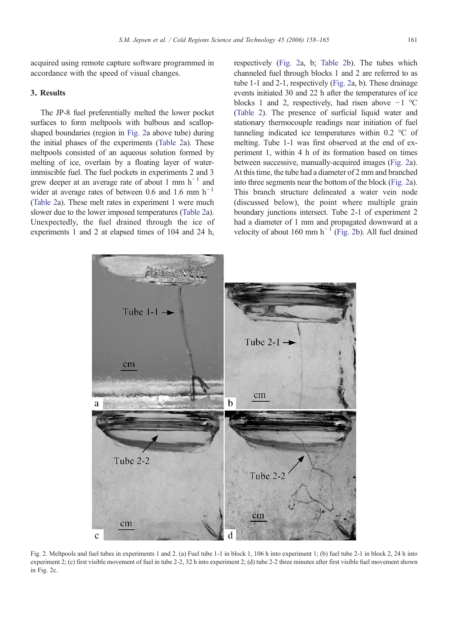<span id="page-3-0"></span>acquired using remote capture software programmed in accordance with the speed of visual changes.

# 3. Results

The JP-8 fuel preferentially melted the lower pocket surfaces to form meltpools with bulbous and scallopshaped boundaries (region in Fig. 2a above tube) during the initial phases of the experiments ([Table 2](#page-2-0)a). These meltpools consisted of an aqueous solution formed by melting of ice, overlain by a floating layer of waterimmiscible fuel. The fuel pockets in experiments 2 and 3 grew deeper at an average rate of about 1 mm  $h^{-1}$  and wider at average rates of between 0.6 and 1.6 mm  $h^{-1}$ [\(Table 2](#page-2-0)a). These melt rates in experiment 1 were much slower due to the lower imposed temperatures ([Table 2](#page-2-0)a). Unexpectedly, the fuel drained through the ice of experiments 1 and 2 at elapsed times of 104 and 24 h, respectively (Fig. 2a, b; [Table 2b](#page-2-0)). The tubes which channeled fuel through blocks 1 and 2 are referred to as tube 1-1 and 2-1, respectively (Fig. 2a, b). These drainage events initiated 30 and 22 h after the temperatures of ice blocks 1 and 2, respectively, had risen above  $-1$  °C [\(Table 2](#page-2-0)). The presence of surficial liquid water and stationary thermocouple readings near initiation of fuel tunneling indicated ice temperatures within 0.2 °C of melting. Tube 1-1 was first observed at the end of experiment 1, within 4 h of its formation based on times between successive, manually-acquired images (Fig. 2a). At this time, the tube had a diameter of 2 mm and branched into three segments near the bottom of the block (Fig. 2a). This branch structure delineated a water vein node (discussed below), the point where multiple grain boundary junctions intersect. Tube 2-1 of experiment 2 had a diameter of 1 mm and propagated downward at a velocity of about 160 mm  $h^{-1}$  (Fig. 2b). All fuel drained



Fig. 2. Meltpools and fuel tubes in experiments 1 and 2. (a) Fuel tube 1-1 in block 1, 106 h into experiment 1; (b) fuel tube 2-1 in block 2, 24 h into experiment 2; (c) first visible movement of fuel in tube 2-2, 32 h into experiment 2; (d) tube 2-2 three minutes after first visible fuel movement shown in Fig. 2c.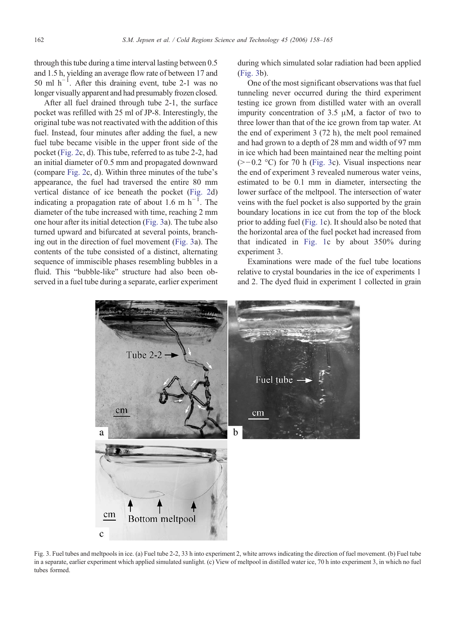through this tube during a time interval lasting between 0.5 and 1.5 h, yielding an average flow rate of between 17 and 50 ml  $h^{-1}$ . After this draining event, tube 2-1 was no longer visually apparent and had presumably frozen closed.

After all fuel drained through tube 2-1, the surface pocket was refilled with 25 ml of JP-8. Interestingly, the original tube was not reactivated with the addition of this fuel. Instead, four minutes after adding the fuel, a new fuel tube became visible in the upper front side of the pocket ([Fig. 2c](#page-3-0), d). This tube, referred to as tube 2-2, had an initial diameter of 0.5 mm and propagated downward (compare [Fig. 2](#page-3-0)c, d). Within three minutes of the tube's appearance, the fuel had traversed the entire 80 mm vertical distance of ice beneath the pocket ([Fig. 2](#page-3-0)d) indicating a propagation rate of about 1.6 m  $h^{-1}$ . The diameter of the tube increased with time, reaching 2 mm one hour after its initial detection (Fig. 3a). The tube also turned upward and bifurcated at several points, branching out in the direction of fuel movement (Fig. 3a). The contents of the tube consisted of a distinct, alternating sequence of immiscible phases resembling bubbles in a fluid. This "bubble-like" structure had also been observed in a fuel tube during a separate, earlier experiment during which simulated solar radiation had been applied (Fig. 3b).

One of the most significant observations was that fuel tunneling never occurred during the third experiment testing ice grown from distilled water with an overall impurity concentration of 3.5 μM, a factor of two to three lower than that of the ice grown from tap water. At the end of experiment 3 (72 h), the melt pool remained and had grown to a depth of 28 mm and width of 97 mm in ice which had been maintained near the melting point  $(>=0.2$  °C) for 70 h (Fig. 3c). Visual inspections near the end of experiment 3 revealed numerous water veins, estimated to be 0.1 mm in diameter, intersecting the lower surface of the meltpool. The intersection of water veins with the fuel pocket is also supported by the grain boundary locations in ice cut from the top of the block prior to adding fuel [\(Fig. 1c](#page-2-0)). It should also be noted that the horizontal area of the fuel pocket had increased from that indicated in [Fig. 1c](#page-2-0) by about 350% during experiment 3.

Examinations were made of the fuel tube locations relative to crystal boundaries in the ice of experiments 1 and 2. The dyed fluid in experiment 1 collected in grain



Fig. 3. Fuel tubes and meltpools in ice. (a) Fuel tube 2-2, 33 h into experiment 2, white arrows indicating the direction of fuel movement. (b) Fuel tube in a separate, earlier experiment which applied simulated sunlight. (c) View of meltpool in distilled water ice, 70 h into experiment 3, in which no fuel tubes formed.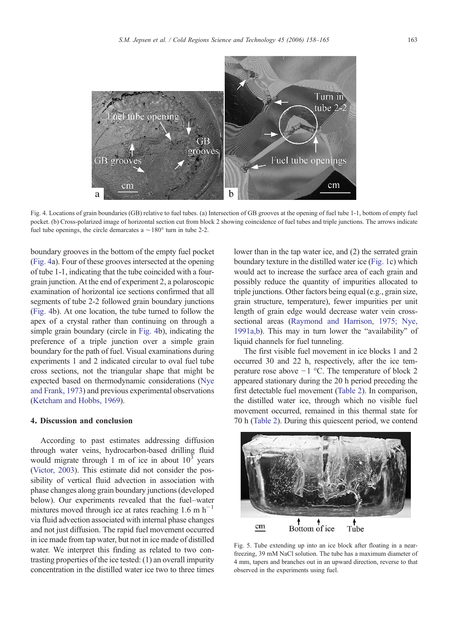<span id="page-5-0"></span>

Fig. 4. Locations of grain boundaries (GB) relative to fuel tubes. (a) Intersection of GB grooves at the opening of fuel tube 1-1, bottom of empty fuel pocket. (b) Cross-polarized image of horizontal section cut from block 2 showing coincidence of fuel tubes and triple junctions. The arrows indicate fuel tube openings, the circle demarcates a  $\sim 180^\circ$  turn in tube 2-2.

boundary grooves in the bottom of the empty fuel pocket (Fig. 4a). Four of these grooves intersected at the opening of tube 1-1, indicating that the tube coincided with a fourgrain junction. At the end of experiment 2, a polaroscopic examination of horizontal ice sections confirmed that all segments of tube 2-2 followed grain boundary junctions (Fig. 4b). At one location, the tube turned to follow the apex of a crystal rather than continuing on through a simple grain boundary (circle in Fig. 4b), indicating the preference of a triple junction over a simple grain boundary for the path of fuel. Visual examinations during experiments 1 and 2 indicated circular to oval fuel tube cross sections, not the triangular shape that might be expected based on thermodynamic considerations ([Nye](#page-7-0) [and Frank, 1973\)](#page-7-0) and previous experimental observations [\(Ketcham and Hobbs, 1969\)](#page-7-0).

# 4. Discussion and conclusion

According to past estimates addressing diffusion through water veins, hydrocarbon-based drilling fluid would migrate through 1 m of ice in about  $10<sup>3</sup>$  years [\(Victor, 2003\)](#page-7-0). This estimate did not consider the possibility of vertical fluid advection in association with phase changes along grain boundary junctions (developed below). Our experiments revealed that the fuel–water mixtures moved through ice at rates reaching 1.6 m  $h^{-1}$ via fluid advection associated with internal phase changes and not just diffusion. The rapid fuel movement occurred in ice made from tap water, but not in ice made of distilled water. We interpret this finding as related to two contrasting properties of the ice tested: (1) an overall impurity concentration in the distilled water ice two to three times

lower than in the tap water ice, and (2) the serrated grain boundary texture in the distilled water ice [\(Fig. 1c](#page-2-0)) which would act to increase the surface area of each grain and possibly reduce the quantity of impurities allocated to triple junctions. Other factors being equal (e.g., grain size, grain structure, temperature), fewer impurities per unit length of grain edge would decrease water vein crosssectional areas ([Raymond and Harrison, 1975; Nye,](#page-7-0) [1991a,b](#page-7-0)). This may in turn lower the "availability" of liquid channels for fuel tunneling.

The first visible fuel movement in ice blocks 1 and 2 occurred 30 and 22 h, respectively, after the ice temperature rose above −1 °C. The temperature of block 2 appeared stationary during the 20 h period preceding the first detectable fuel movement ([Table 2](#page-2-0)). In comparison, the distilled water ice, through which no visible fuel movement occurred, remained in this thermal state for 70 h [\(Table 2](#page-2-0)). During this quiescent period, we contend



Fig. 5. Tube extending up into an ice block after floating in a nearfreezing, 39 mM NaCl solution. The tube has a maximum diameter of 4 mm, tapers and branches out in an upward direction, reverse to that observed in the experiments using fuel.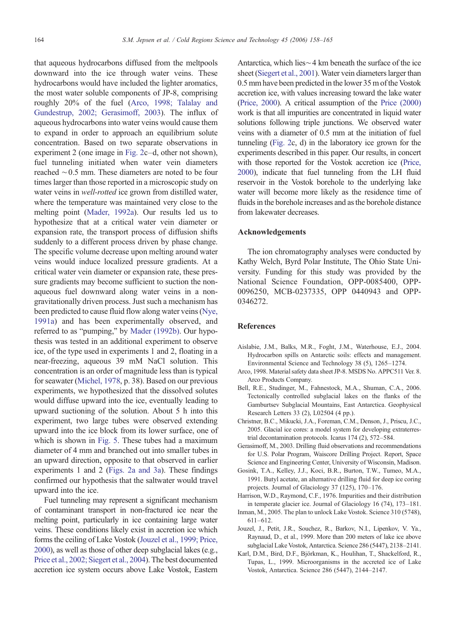<span id="page-6-0"></span>that aqueous hydrocarbons diffused from the meltpools downward into the ice through water veins. These hydrocarbons would have included the lighter aromatics, the most water soluble components of JP-8, comprising roughly 20% of the fuel (Arco, 1998; Talalay and Gundestrup, 2002; Gerasimoff, 2003). The influx of aqueous hydrocarbons into water veins would cause them to expand in order to approach an equilibrium solute concentration. Based on two separate observations in experiment 2 (one image in [Fig. 2c](#page-3-0)–d, other not shown), fuel tunneling initiated when water vein diameters reached ∼0.5 mm. These diameters are noted to be four times larger than those reported in a microscopic study on water veins in *well-rotted* ice grown from distilled water, where the temperature was maintained very close to the melting point ([Mader, 1992a](#page-7-0)). Our results led us to hypothesize that at a critical water vein diameter or expansion rate, the transport process of diffusion shifts suddenly to a different process driven by phase change. The specific volume decrease upon melting around water veins would induce localized pressure gradients. At a critical water vein diameter or expansion rate, these pressure gradients may become sufficient to suction the nonaqueous fuel downward along water veins in a nongravitationally driven process. Just such a mechanism has been predicted to cause fluid flow along water veins ([Nye,](#page-7-0) [1991a](#page-7-0)) and has been experimentally observed, and referred to as "pumping," by [Mader \(1992b\)](#page-7-0). Our hypothesis was tested in an additional experiment to observe ice, of the type used in experiments 1 and 2, floating in a near-freezing, aqueous 39 mM NaCl solution. This concentration is an order of magnitude less than is typical for seawater [\(Michel, 1978,](#page-7-0) p. 38). Based on our previous experiments, we hypothesized that the dissolved solutes would diffuse upward into the ice, eventually leading to upward suctioning of the solution. About 5 h into this experiment, two large tubes were observed extending upward into the ice block from its lower surface, one of which is shown in [Fig. 5.](#page-5-0) These tubes had a maximum diameter of 4 mm and branched out into smaller tubes in an upward direction, opposite to that observed in earlier experiments 1 and 2 ([Figs. 2a and 3a](#page-3-0)). These findings confirmed our hypothesis that the saltwater would travel upward into the ice.

Fuel tunneling may represent a significant mechanism of contaminant transport in non-fractured ice near the melting point, particularly in ice containing large water veins. These conditions likely exist in accretion ice which forms the ceiling of Lake Vostok (Jouzel et al., 1999; Price, 2000), as well as those of other deep subglacial lakes (e.g., [Price et al., 2002; Siegert et al., 2004](#page-7-0)). The best documented accretion ice system occurs above Lake Vostok, Eastern

Antarctica, which lies∼4 km beneath the surface of the ice sheet [\(Siegert et al., 2001\)](#page-7-0). Water vein diameters larger than 0.5 mm have been predicted in the lower 35 m of the Vostok accretion ice, with values increasing toward the lake water [\(Price, 2000\)](#page-7-0). A critical assumption of the [Price \(2000\)](#page-7-0) work is that all impurities are concentrated in liquid water solutions following triple junctions. We observed water veins with a diameter of 0.5 mm at the initiation of fuel tunneling [\(Fig. 2](#page-3-0)c, d) in the laboratory ice grown for the experiments described in this paper. Our results, in concert with those reported for the Vostok accretion ice ([Price,](#page-7-0) [2000](#page-7-0)), indicate that fuel tunneling from the LH fluid reservoir in the Vostok borehole to the underlying lake water will become more likely as the residence time of fluids in the borehole increases and as the borehole distance from lakewater decreases.

## Acknowledgements

The ion chromatography analyses were conducted by Kathy Welch, Byrd Polar Institute, The Ohio State University. Funding for this study was provided by the National Science Foundation, OPP-0085400, OPP-0096250, MCB-0237335, OPP 0440943 and OPP-0346272.

### **References**

- Aislabie, J.M., Balks, M.R., Foght, J.M., Waterhouse, E.J., 2004. Hydrocarbon spills on Antarctic soils: effects and management. Environmental Science and Technology 38 (5), 1265–1274.
- Arco, 1998. Material safety data sheet JP-8. MSDS No. APPC511 Ver. 8. Arco Products Company.
- Bell, R.E., Studinger, M., Fahnestock, M.A., Shuman, C.A., 2006. Tectonically controlled subglacial lakes on the flanks of the Gamburtsev Subglacial Mountains, East Antarctica. Geophysical Research Letters 33 (2), L02504 (4 pp.).
- Christner, B.C., Mikucki, J.A., Foreman, C.M., Denson, J., Priscu, J.C., 2005. Glacial ice cores: a model system for developing extraterrestrial decontamination protocols. Icarus 174 (2), 572–584.
- Gerasimoff, M., 2003. Drilling fluid observations and recommendations for U.S. Polar Program, Waiscore Drilling Project. Report, Space Science and Engineering Center, University of Wisconsin, Madison.
- Gosink, T.A., Kelley, J.J., Koci, B.R., Burton, T.W., Tumeo, M.A., 1991. Butyl acetate, an alternative drilling fluid for deep ice coring projects. Journal of Glaciology 37 (125), 170–176.
- Harrison, W.D., Raymond, C.F., 1976. Impurities and their distribution in temperate glacier ice. Journal of Glaciology 16 (74), 173–181.
- Inman, M., 2005. The plan to unlock Lake Vostok. Science 310 (5748), 611–612.
- Jouzel, J., Petit, J.R., Souchez, R., Barkov, N.I., Lipenkov, V. Ya., Raynaud, D., et al., 1999. More than 200 meters of lake ice above subglacial Lake Vostok, Antarctica. Science 286 (5447), 2138–2141.
- Karl, D.M., Bird, D.F., Björkman, K., Houlihan, T., Shackelford, R., Tupas, L., 1999. Microorganisms in the accreted ice of Lake Vostok, Antarctica. Science 286 (5447), 2144–2147.